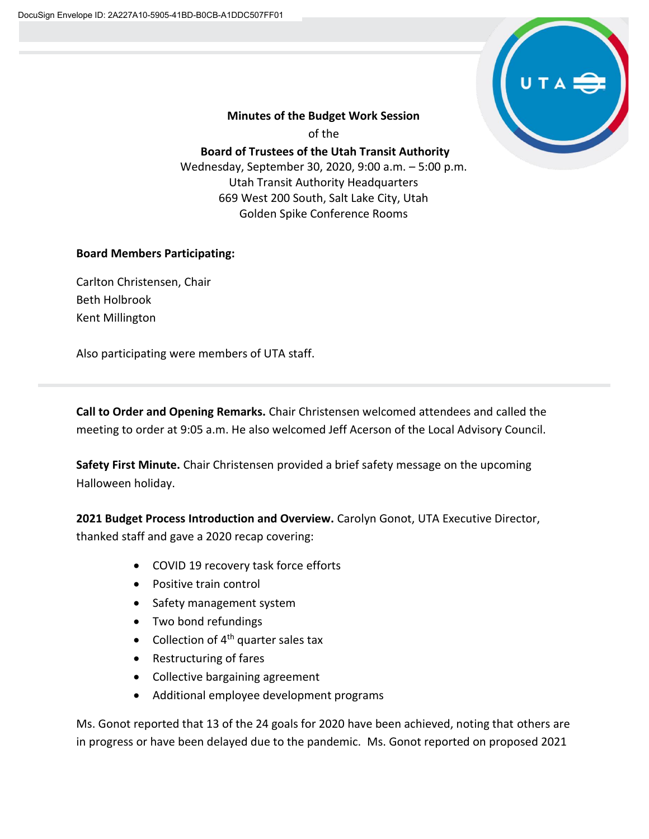

## **Minutes of the Budget Work Session** of the **Board of Trustees of the Utah Transit Authority** Wednesday, September 30, 2020, 9:00 a.m. – 5:00 p.m. Utah Transit Authority Headquarters 669 West 200 South, Salt Lake City, Utah Golden Spike Conference Rooms

## **Board Members Participating:**

Carlton Christensen, Chair Beth Holbrook Kent Millington

Also participating were members of UTA staff.

**Call to Order and Opening Remarks.** Chair Christensen welcomed attendees and called the meeting to order at 9:05 a.m. He also welcomed Jeff Acerson of the Local Advisory Council.

**Safety First Minute.** Chair Christensen provided a brief safety message on the upcoming Halloween holiday.

**2021 Budget Process Introduction and Overview.** Carolyn Gonot, UTA Executive Director, thanked staff and gave a 2020 recap covering:

- COVID 19 recovery task force efforts
- Positive train control
- Safety management system
- Two bond refundings
- Collection of  $4<sup>th</sup>$  quarter sales tax
- Restructuring of fares
- Collective bargaining agreement
- Additional employee development programs

Ms. Gonot reported that 13 of the 24 goals for 2020 have been achieved, noting that others are in progress or have been delayed due to the pandemic. Ms. Gonot reported on proposed 2021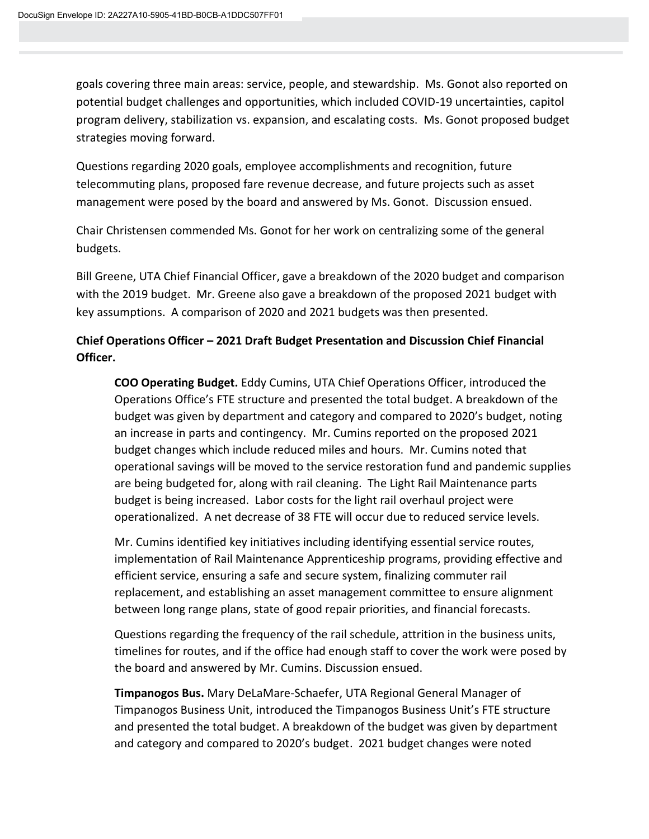goals covering three main areas: service, people, and stewardship. Ms. Gonot also reported on potential budget challenges and opportunities, which included COVID-19 uncertainties, capitol program delivery, stabilization vs. expansion, and escalating costs. Ms. Gonot proposed budget strategies moving forward.

Questions regarding 2020 goals, employee accomplishments and recognition, future telecommuting plans, proposed fare revenue decrease, and future projects such as asset management were posed by the board and answered by Ms. Gonot. Discussion ensued.

Chair Christensen commended Ms. Gonot for her work on centralizing some of the general budgets.

Bill Greene, UTA Chief Financial Officer, gave a breakdown of the 2020 budget and comparison with the 2019 budget. Mr. Greene also gave a breakdown of the proposed 2021 budget with key assumptions. A comparison of 2020 and 2021 budgets was then presented.

## **Chief Operations Officer – 2021 Draft Budget Presentation and Discussion Chief Financial Officer.**

**COO Operating Budget.** Eddy Cumins, UTA Chief Operations Officer, introduced the Operations Office's FTE structure and presented the total budget. A breakdown of the budget was given by department and category and compared to 2020's budget, noting an increase in parts and contingency. Mr. Cumins reported on the proposed 2021 budget changes which include reduced miles and hours. Mr. Cumins noted that operational savings will be moved to the service restoration fund and pandemic supplies are being budgeted for, along with rail cleaning. The Light Rail Maintenance parts budget is being increased. Labor costs for the light rail overhaul project were operationalized. A net decrease of 38 FTE will occur due to reduced service levels.

Mr. Cumins identified key initiatives including identifying essential service routes, implementation of Rail Maintenance Apprenticeship programs, providing effective and efficient service, ensuring a safe and secure system, finalizing commuter rail replacement, and establishing an asset management committee to ensure alignment between long range plans, state of good repair priorities, and financial forecasts.

Questions regarding the frequency of the rail schedule, attrition in the business units, timelines for routes, and if the office had enough staff to cover the work were posed by the board and answered by Mr. Cumins. Discussion ensued.

**Timpanogos Bus.** Mary DeLaMare-Schaefer, UTA Regional General Manager of Timpanogos Business Unit, introduced the Timpanogos Business Unit's FTE structure and presented the total budget. A breakdown of the budget was given by department and category and compared to 2020's budget. 2021 budget changes were noted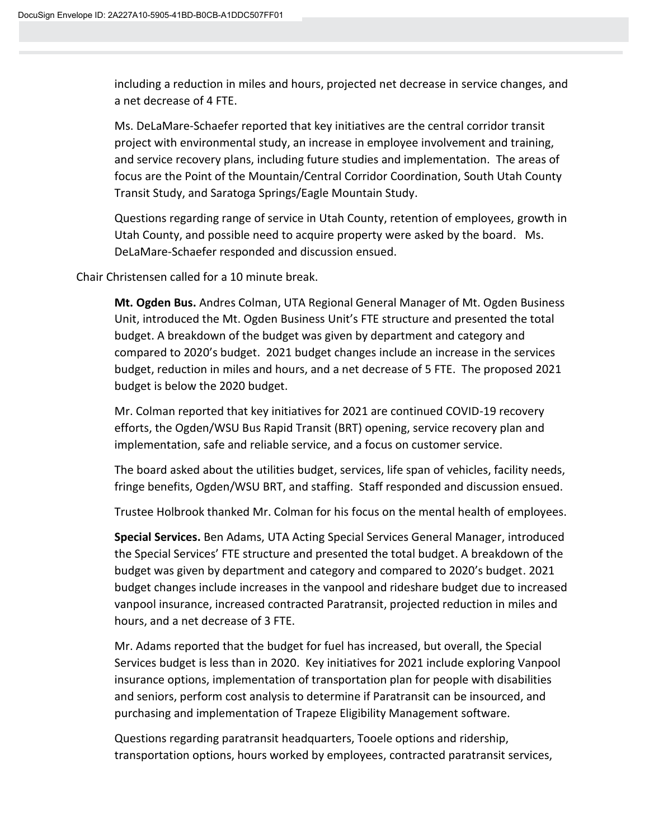including a reduction in miles and hours, projected net decrease in service changes, and a net decrease of 4 FTE.

Ms. DeLaMare-Schaefer reported that key initiatives are the central corridor transit project with environmental study, an increase in employee involvement and training, and service recovery plans, including future studies and implementation. The areas of focus are the Point of the Mountain/Central Corridor Coordination, South Utah County Transit Study, and Saratoga Springs/Eagle Mountain Study.

Questions regarding range of service in Utah County, retention of employees, growth in Utah County, and possible need to acquire property were asked by the board. Ms. DeLaMare-Schaefer responded and discussion ensued.

Chair Christensen called for a 10 minute break.

**Mt. Ogden Bus.** Andres Colman, UTA Regional General Manager of Mt. Ogden Business Unit, introduced the Mt. Ogden Business Unit's FTE structure and presented the total budget. A breakdown of the budget was given by department and category and compared to 2020's budget. 2021 budget changes include an increase in the services budget, reduction in miles and hours, and a net decrease of 5 FTE. The proposed 2021 budget is below the 2020 budget.

Mr. Colman reported that key initiatives for 2021 are continued COVID-19 recovery efforts, the Ogden/WSU Bus Rapid Transit (BRT) opening, service recovery plan and implementation, safe and reliable service, and a focus on customer service.

The board asked about the utilities budget, services, life span of vehicles, facility needs, fringe benefits, Ogden/WSU BRT, and staffing. Staff responded and discussion ensued.

Trustee Holbrook thanked Mr. Colman for his focus on the mental health of employees.

**Special Services.** Ben Adams, UTA Acting Special Services General Manager, introduced the Special Services' FTE structure and presented the total budget. A breakdown of the budget was given by department and category and compared to 2020's budget. 2021 budget changes include increases in the vanpool and rideshare budget due to increased vanpool insurance, increased contracted Paratransit, projected reduction in miles and hours, and a net decrease of 3 FTE.

Mr. Adams reported that the budget for fuel has increased, but overall, the Special Services budget is less than in 2020. Key initiatives for 2021 include exploring Vanpool insurance options, implementation of transportation plan for people with disabilities and seniors, perform cost analysis to determine if Paratransit can be insourced, and purchasing and implementation of Trapeze Eligibility Management software.

Questions regarding paratransit headquarters, Tooele options and ridership, transportation options, hours worked by employees, contracted paratransit services,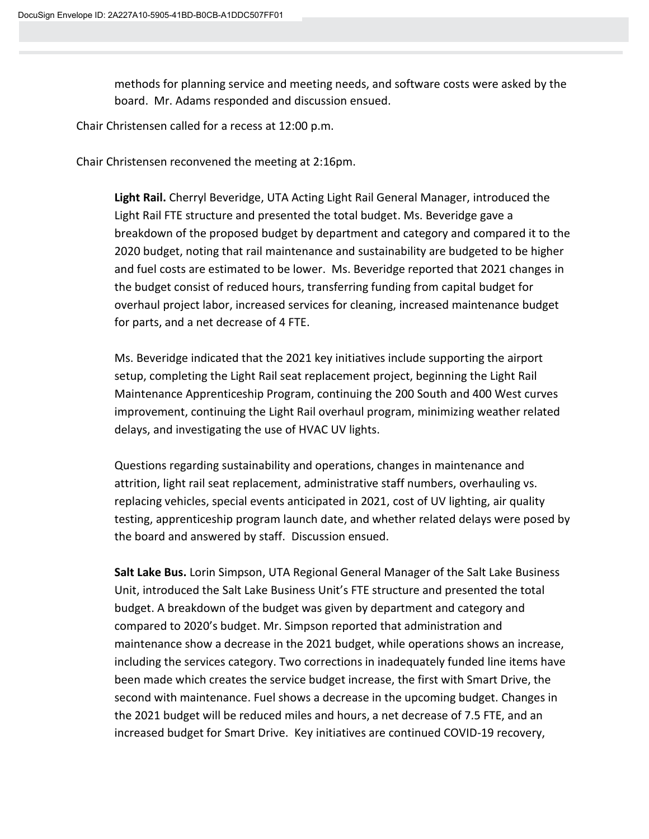methods for planning service and meeting needs, and software costs were asked by the board. Mr. Adams responded and discussion ensued.

Chair Christensen called for a recess at 12:00 p.m.

Chair Christensen reconvened the meeting at 2:16pm.

**Light Rail.** Cherryl Beveridge, UTA Acting Light Rail General Manager, introduced the Light Rail FTE structure and presented the total budget. Ms. Beveridge gave a breakdown of the proposed budget by department and category and compared it to the 2020 budget, noting that rail maintenance and sustainability are budgeted to be higher and fuel costs are estimated to be lower. Ms. Beveridge reported that 2021 changes in the budget consist of reduced hours, transferring funding from capital budget for overhaul project labor, increased services for cleaning, increased maintenance budget for parts, and a net decrease of 4 FTE.

Ms. Beveridge indicated that the 2021 key initiatives include supporting the airport setup, completing the Light Rail seat replacement project, beginning the Light Rail Maintenance Apprenticeship Program, continuing the 200 South and 400 West curves improvement, continuing the Light Rail overhaul program, minimizing weather related delays, and investigating the use of HVAC UV lights.

Questions regarding sustainability and operations, changes in maintenance and attrition, light rail seat replacement, administrative staff numbers, overhauling vs. replacing vehicles, special events anticipated in 2021, cost of UV lighting, air quality testing, apprenticeship program launch date, and whether related delays were posed by the board and answered by staff. Discussion ensued.

**Salt Lake Bus.** Lorin Simpson, UTA Regional General Manager of the Salt Lake Business Unit, introduced the Salt Lake Business Unit's FTE structure and presented the total budget. A breakdown of the budget was given by department and category and compared to 2020's budget. Mr. Simpson reported that administration and maintenance show a decrease in the 2021 budget, while operations shows an increase, including the services category. Two corrections in inadequately funded line items have been made which creates the service budget increase, the first with Smart Drive, the second with maintenance. Fuel shows a decrease in the upcoming budget. Changes in the 2021 budget will be reduced miles and hours, a net decrease of 7.5 FTE, and an increased budget for Smart Drive. Key initiatives are continued COVID-19 recovery,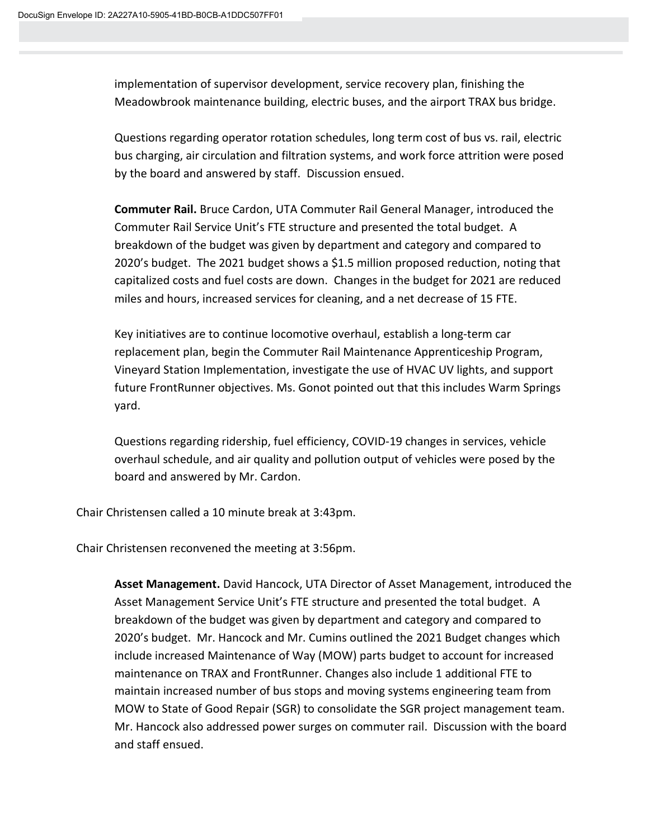implementation of supervisor development, service recovery plan, finishing the Meadowbrook maintenance building, electric buses, and the airport TRAX bus bridge.

Questions regarding operator rotation schedules, long term cost of bus vs. rail, electric bus charging, air circulation and filtration systems, and work force attrition were posed by the board and answered by staff. Discussion ensued.

**Commuter Rail.** Bruce Cardon, UTA Commuter Rail General Manager, introduced the Commuter Rail Service Unit's FTE structure and presented the total budget. A breakdown of the budget was given by department and category and compared to 2020's budget. The 2021 budget shows a \$1.5 million proposed reduction, noting that capitalized costs and fuel costs are down. Changes in the budget for 2021 are reduced miles and hours, increased services for cleaning, and a net decrease of 15 FTE.

Key initiatives are to continue locomotive overhaul, establish a long-term car replacement plan, begin the Commuter Rail Maintenance Apprenticeship Program, Vineyard Station Implementation, investigate the use of HVAC UV lights, and support future FrontRunner objectives. Ms. Gonot pointed out that this includes Warm Springs yard.

Questions regarding ridership, fuel efficiency, COVID-19 changes in services, vehicle overhaul schedule, and air quality and pollution output of vehicles were posed by the board and answered by Mr. Cardon.

Chair Christensen called a 10 minute break at 3:43pm.

Chair Christensen reconvened the meeting at 3:56pm.

**Asset Management.** David Hancock, UTA Director of Asset Management, introduced the Asset Management Service Unit's FTE structure and presented the total budget. A breakdown of the budget was given by department and category and compared to 2020's budget. Mr. Hancock and Mr. Cumins outlined the 2021 Budget changes which include increased Maintenance of Way (MOW) parts budget to account for increased maintenance on TRAX and FrontRunner. Changes also include 1 additional FTE to maintain increased number of bus stops and moving systems engineering team from MOW to State of Good Repair (SGR) to consolidate the SGR project management team. Mr. Hancock also addressed power surges on commuter rail. Discussion with the board and staff ensued.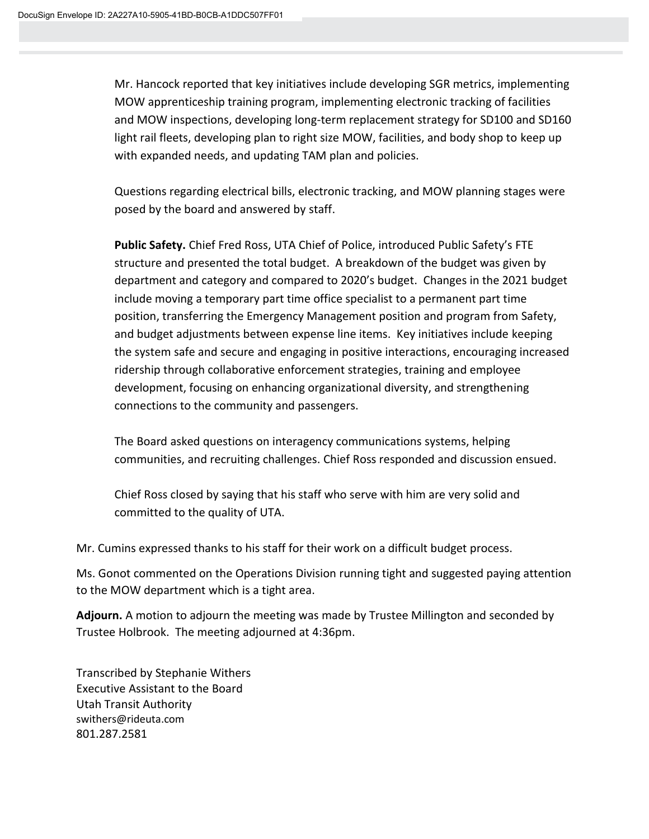Mr. Hancock reported that key initiatives include developing SGR metrics, implementing MOW apprenticeship training program, implementing electronic tracking of facilities and MOW inspections, developing long-term replacement strategy for SD100 and SD160 light rail fleets, developing plan to right size MOW, facilities, and body shop to keep up with expanded needs, and updating TAM plan and policies.

Questions regarding electrical bills, electronic tracking, and MOW planning stages were posed by the board and answered by staff.

**Public Safety.** Chief Fred Ross, UTA Chief of Police, introduced Public Safety's FTE structure and presented the total budget. A breakdown of the budget was given by department and category and compared to 2020's budget. Changes in the 2021 budget include moving a temporary part time office specialist to a permanent part time position, transferring the Emergency Management position and program from Safety, and budget adjustments between expense line items. Key initiatives include keeping the system safe and secure and engaging in positive interactions, encouraging increased ridership through collaborative enforcement strategies, training and employee development, focusing on enhancing organizational diversity, and strengthening connections to the community and passengers.

The Board asked questions on interagency communications systems, helping communities, and recruiting challenges. Chief Ross responded and discussion ensued.

Chief Ross closed by saying that his staff who serve with him are very solid and committed to the quality of UTA.

Mr. Cumins expressed thanks to his staff for their work on a difficult budget process.

Ms. Gonot commented on the Operations Division running tight and suggested paying attention to the MOW department which is a tight area.

**Adjourn.** A motion to adjourn the meeting was made by Trustee Millington and seconded by Trustee Holbrook. The meeting adjourned at 4:36pm.

Transcribed by Stephanie Withers Executive Assistant to the Board Utah Transit Authority swithers@rideuta.com 801.287.2581